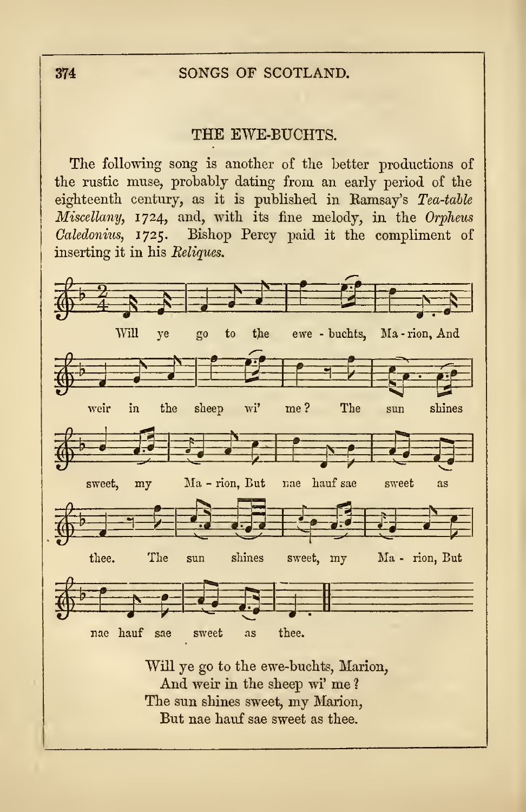## 374 SONGS OF SCOTLAND.

## THE EWE-BUCHTS.

The following song is another of the better productions of the rustic muse, probably dating from an early period of the eighteenth century, as it is published in Eamsay's Tea-table Miscellany, 1724, and, with its fine melody, in the Orpheus Caledonius, 1725. Bishop Percy paid it the compliment of inserting it in his Reliques.